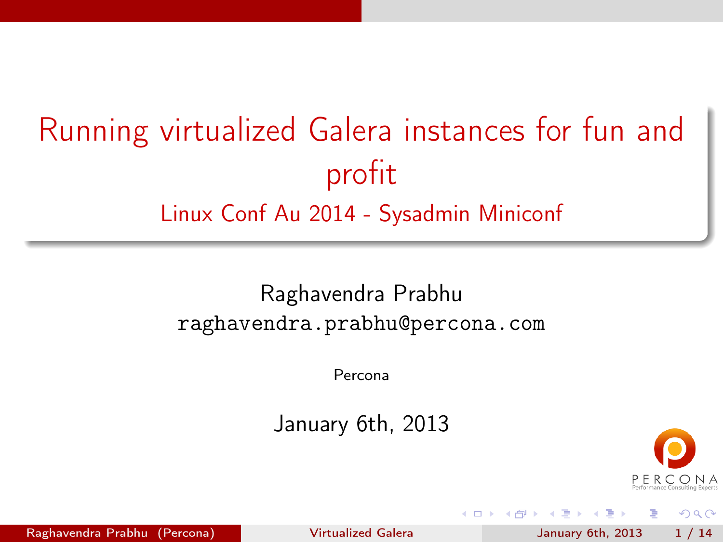# Running virtualized Galera instances for fun and profit Linux Conf Au 2014 - Sysadmin Miniconf

#### Raghavendra Prabhu raghavendra.prabhu@percona.com

Percona

January 6th, 2013



<span id="page-0-0"></span> $200$ 

Raghavendra Prabhu (Percona) **[Virtualized Galera](#page-13-0)** January 6th, 2013 1/14

 $\rightarrow$   $\rightarrow$   $\rightarrow$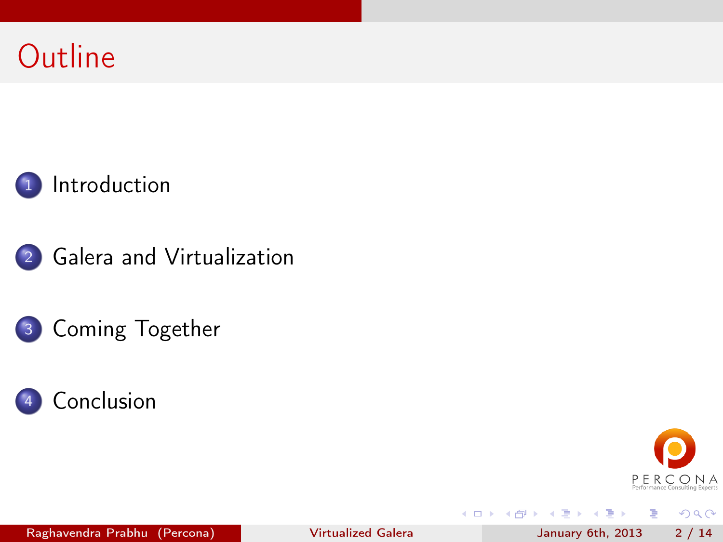## Outline











G.

 $299$ 

Raghavendra Prabhu (Percona) [Virtualized Galera](#page-0-0) January 6th, 2013 2 / 14

 $($  ロ )  $($  何 )  $($  ヨ )  $($  ヨ  $)$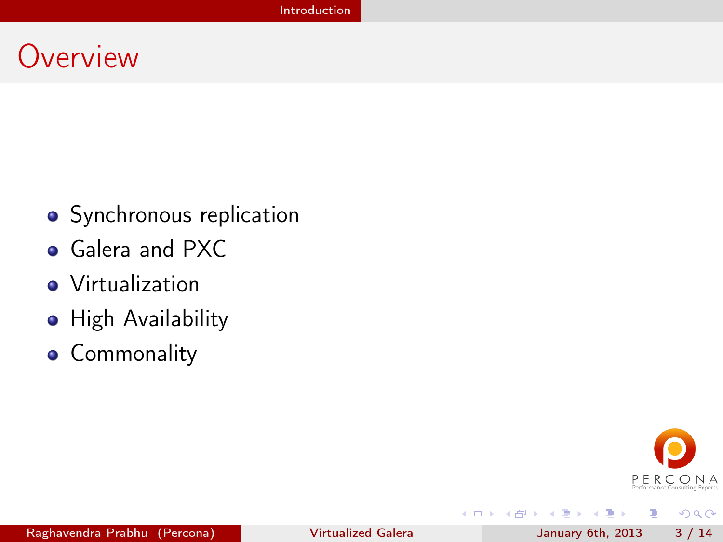#### Overview

- **•** Synchronous replication
- **Galera and PXC**
- **•** Virtualization
- **•** High Availability
- **•** Commonality



÷.

<span id="page-2-0"></span> $QQ$ 

 $A \equiv \mathbf{1} \times A \equiv \mathbf{1}$ 

4 0 8 ∢母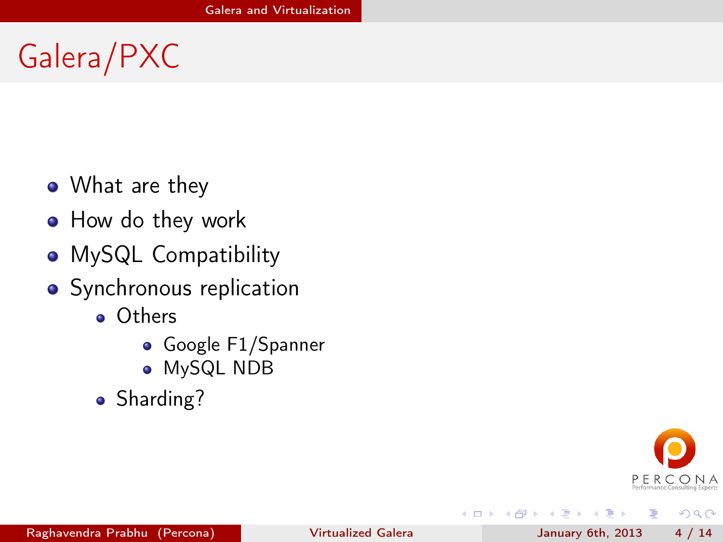# Galera/PXC

- What are they
- How do they work
- MySQL Compatibility
- Synchronous replication
	- Others
		- Google F1/Spanner
		- MySQL NDB
	- Sharding?



<span id="page-3-0"></span> $QQ$ 

э

 $\mathcal{A} \cap \mathbb{P} \rightarrow \mathcal{A} \supseteq \mathcal{A} \rightarrow \mathcal{A} \supseteq \mathcal{A}$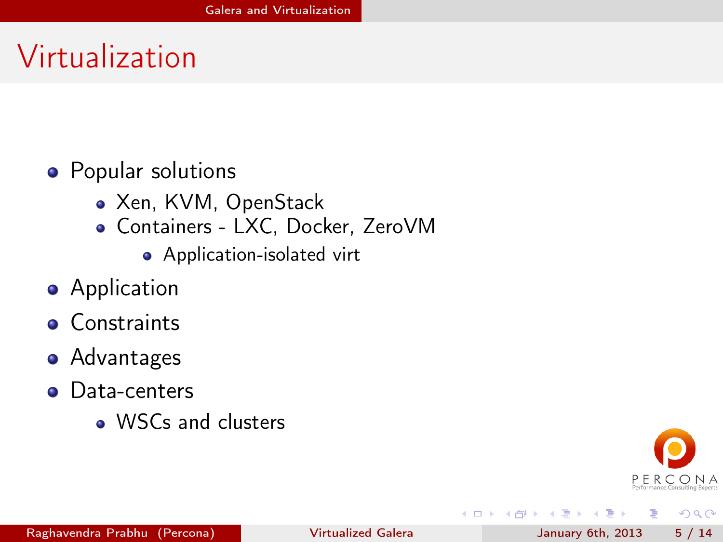## Virtualization

#### • Popular solutions

- Xen, KVM, OpenStack
- Containers LXC, Docker, ZeroVM
	- Application-isolated virt
- **•** Application
- **o** Constraints
- Advantages
- Data-centers
	- WSCs and clusters



э

<span id="page-4-0"></span> $QQ$ 

医下环医下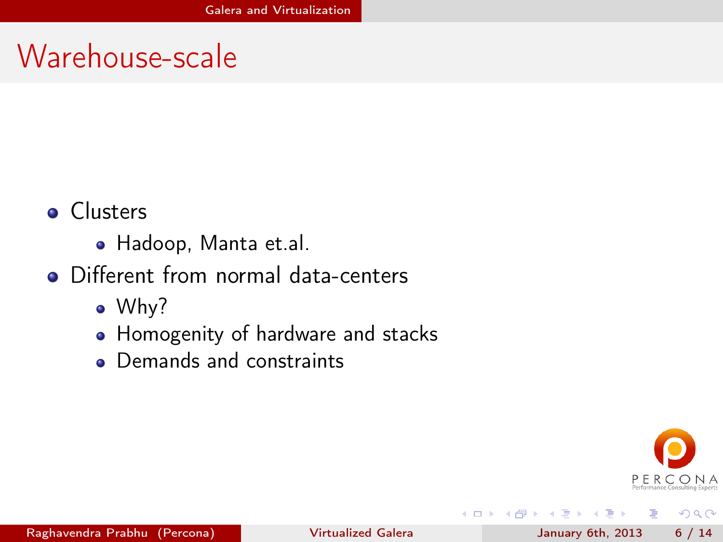### Warehouse-scale

- **o** Clusters
	- Hadoop, Manta et.al.
- Different from normal data-centers
	- Why?
	- Homogenity of hardware and stacks
	- **Demands and constraints**



э

<span id="page-5-0"></span> $QQ$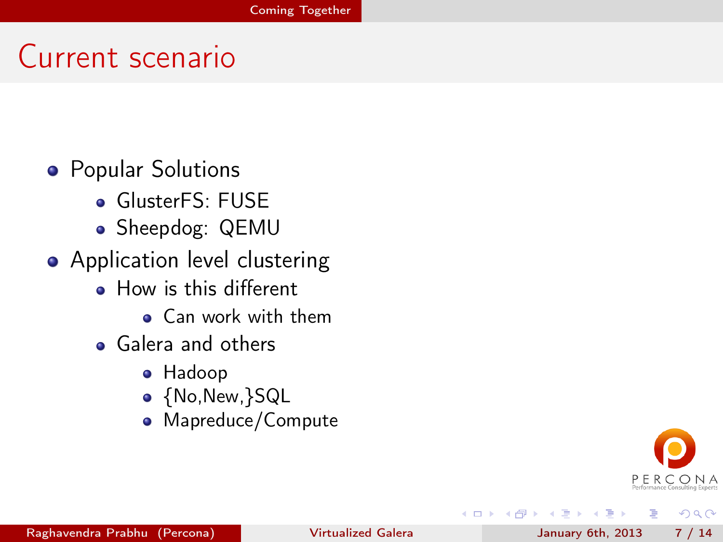#### Current scenario

**• Popular Solutions** 

- GlusterFS: FUSE
- Sheepdog: QEMU
- Application level clustering
	- How is this different
		- Can work with them
	- Galera and others
		- Hadoop
		- {No,New,}SQL
		- Mapreduce/Compute



<span id="page-6-0"></span> $\Omega$ 

- 4 重 8 - 4 重 8

4 **D** F ∢●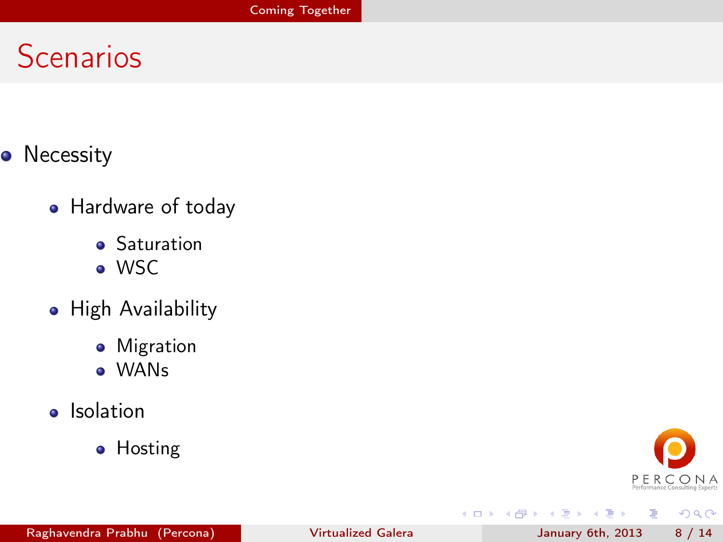### **Scenarios**

- **•** Necessity
	- Hardware of today
		- **•** Saturation
		- WSC
	- High Availability
		- **•** Migration
		- WANs
	- **•** Isolation
		- **•** Hosting



G.

<span id="page-7-0"></span> $2990$ 

K ロ K K 御 K K 君 K K 君 K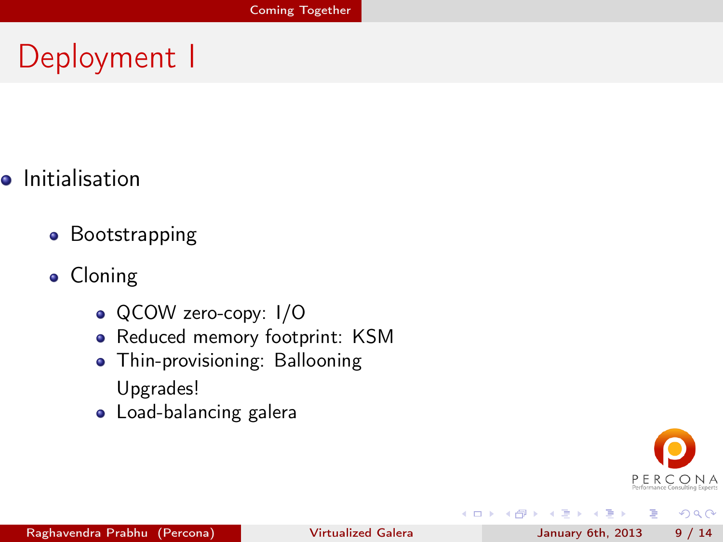## Deployment I

- **o** Initialisation
	- **•** Bootstrapping
	- **•** Cloning
		- QCOW zero-copy: I/O
		- Reduced memory footprint: KSM
		- **•** Thin-provisioning: Ballooning Upgrades!
		- Load-balancing galera



<span id="page-8-0"></span> $QQ$ 

э

医毛囊 医牙足囊炎

4 **D** F

∢ 何 ▶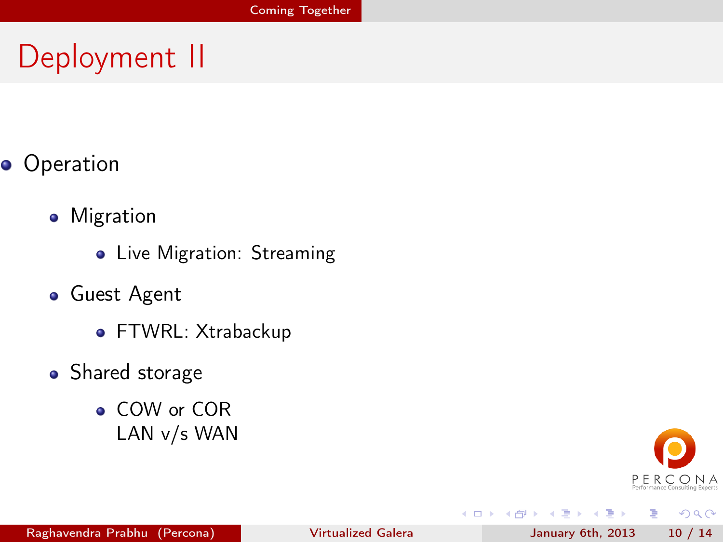# Deployment II

- **•** Operation
	- Migration
		- Live Migration: Streaming
	- **Guest Agent** 
		- **FTWRL: Xtrabackup**
	- Shared storage
		- COW or COR LAN v/s WAN



э

<span id="page-9-0"></span> $QQ$ 

4 **D** F ∢●  $\sim$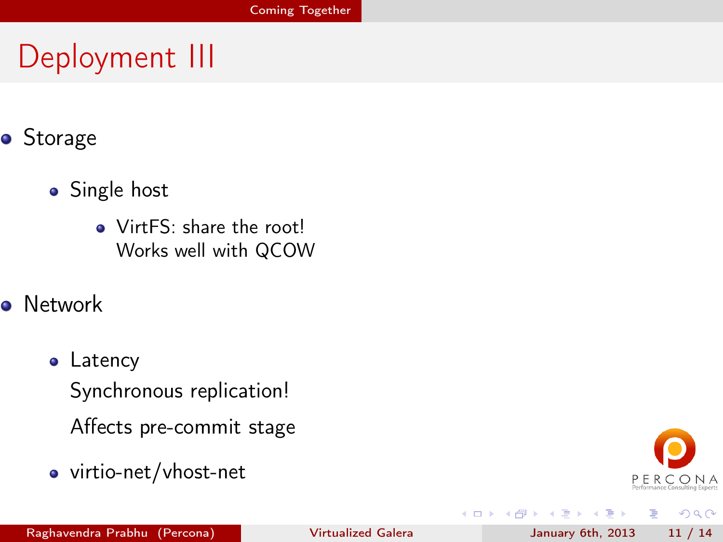# Deployment III

- **•** Storage
	- Single host
		- VirtFS: share the root! Works well with QCOW
- **•** Network
	- Latency Synchronous replication! Affects pre-commit stage
	- virtio-net/vhost-net



<span id="page-10-0"></span> $QQ$ 

э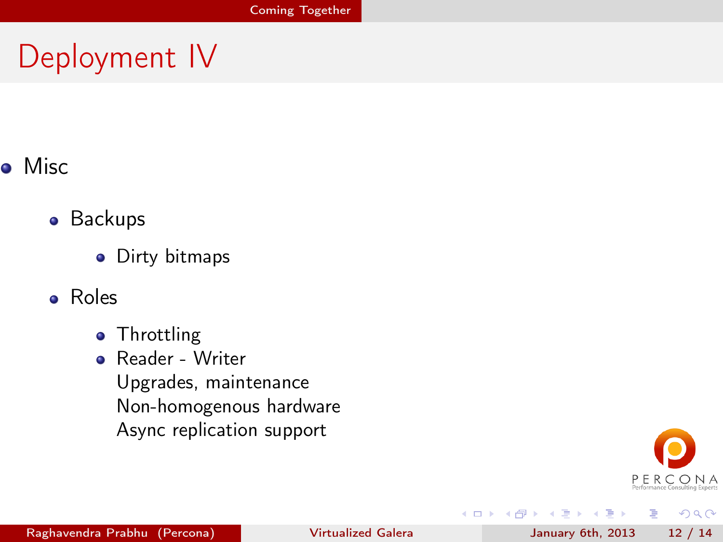# Deployment IV

#### Misc

- **•** Backups
	- Dirty bitmaps
- Roles
	- Throttling
	- Reader Writer Upgrades, maintenance Non-homogenous hardware Async replication support



э

<span id="page-11-0"></span> $QQ$ 

4 **D** F ∢●  $\rightarrow$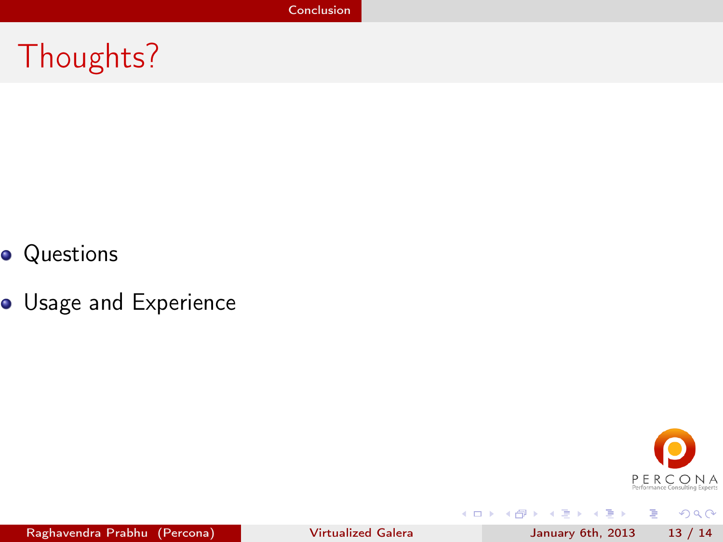# Thoughts?

- **Questions**
- **•** Usage and Experience



<span id="page-12-0"></span> $299$ 

÷.

Raghavendra Prabhu (Percona) [Virtualized Galera](#page-0-0) January 6th, 2013 13 / 14

 $\mathcal{A} \cong \mathcal{B} \times \mathcal{A} \cong \mathcal{B}$